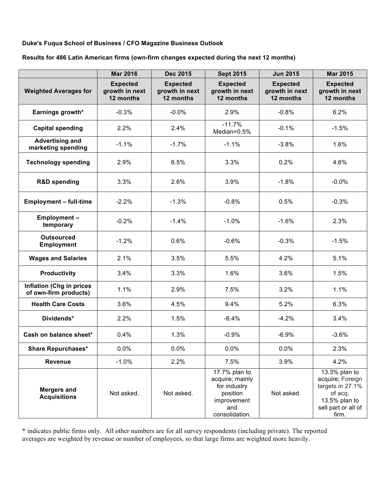## **Duke's Fuqua School of Business / CFO Magazine Business Outlook**

## **Results for 486 Latin American firms (own-firm changes expected during the next 12 months)**

|                                                          | <b>Mar 2016</b>                                | <b>Dec 2015</b>                                | <b>Sept 2015</b>                                                                                     | <b>Jun 2015</b>                                | <b>Mar 2015</b>                                                                                                   |
|----------------------------------------------------------|------------------------------------------------|------------------------------------------------|------------------------------------------------------------------------------------------------------|------------------------------------------------|-------------------------------------------------------------------------------------------------------------------|
| <b>Weighted Averages for</b>                             | <b>Expected</b><br>growth in next<br>12 months | <b>Expected</b><br>growth in next<br>12 months | <b>Expected</b><br>growth in next<br>12 months                                                       | <b>Expected</b><br>growth in next<br>12 months | <b>Expected</b><br>growth in next<br>12 months                                                                    |
| Earnings growth*                                         | $-0.3%$                                        | $-0.0%$                                        | 2.9%                                                                                                 | $-0.8%$                                        | 6.2%                                                                                                              |
| <b>Capital spending</b>                                  | 2.2%                                           | 2.4%                                           | $-11.7%$<br>Median=0.5%                                                                              | $-0.1%$                                        | $-1.5%$                                                                                                           |
| <b>Advertising and</b><br>marketing spending             | $-1.1%$                                        | $-1.7%$                                        | $-1.1%$                                                                                              | $-3.8%$                                        | 1.6%                                                                                                              |
| <b>Technology spending</b>                               | 2.9%                                           | 6.5%                                           | 3.3%                                                                                                 | 0.2%                                           | 4.6%                                                                                                              |
| <b>R&amp;D spending</b>                                  | 3.3%                                           | 2.6%                                           | 3.9%                                                                                                 | $-1.8%$                                        | $-0.0%$                                                                                                           |
| <b>Employment - full-time</b>                            | $-2.2%$                                        | $-1.3%$                                        | $-0.8%$                                                                                              | 0.5%                                           | $-0.3%$                                                                                                           |
| Employment-<br>temporary                                 | $-0.2%$                                        | $-1.4%$                                        | $-1.0%$                                                                                              | $-1.6%$                                        | 2.3%                                                                                                              |
| <b>Outsourced</b><br><b>Employment</b>                   | $-1.2%$                                        | 0.6%                                           | $-0.6%$                                                                                              | $-0.3%$                                        | $-1.5%$                                                                                                           |
| <b>Wages and Salaries</b>                                | 2.1%                                           | 3.5%                                           | 5.5%                                                                                                 | 4.2%                                           | 5.1%                                                                                                              |
| <b>Productivity</b>                                      | 3.4%                                           | 3.3%                                           | 1.6%                                                                                                 | 3.6%                                           | 1.5%                                                                                                              |
| <b>Inflation (Chg in prices</b><br>of own-firm products) | 1.1%                                           | 2.9%                                           | 7.5%                                                                                                 | 3.2%                                           | 1.1%                                                                                                              |
| <b>Health Care Costs</b>                                 | 3.6%                                           | 4.5%                                           | 9.4%                                                                                                 | 5.2%                                           | 6.3%                                                                                                              |
| Dividends*                                               | 2.2%                                           | 1.5%                                           | $-6.4%$                                                                                              | $-4.2%$                                        | 3.4%                                                                                                              |
| Cash on balance sheet*                                   | 0.4%                                           | 1.3%                                           | $-0.9%$                                                                                              | $-6.9%$                                        | $-3.6%$                                                                                                           |
| <b>Share Repurchases*</b>                                | 0.0%                                           | 0.0%                                           | 0.0%                                                                                                 | 0.0%                                           | 2.3%                                                                                                              |
| <b>Revenue</b>                                           | $-1.0%$                                        | 2.2%                                           | 7.5%                                                                                                 | 3.9%                                           | 4.2%                                                                                                              |
| <b>Mergers and</b><br><b>Acquisitions</b>                | Not asked.                                     | Not asked.                                     | 17.7% plan to<br>acquire; mainly<br>for industry<br>position<br>improvement<br>and<br>consolidation. | Not asked.                                     | 13.3% plan to<br>acquire; Foreign<br>targets in 27.1%<br>of acq.<br>13.5% plan to<br>sell part or all of<br>firm. |

\* indicates public firms only. All other numbers are for all survey respondents (including private). The reported averages are weighted by revenue or number of employees, so that large firms are weighted more heavily.